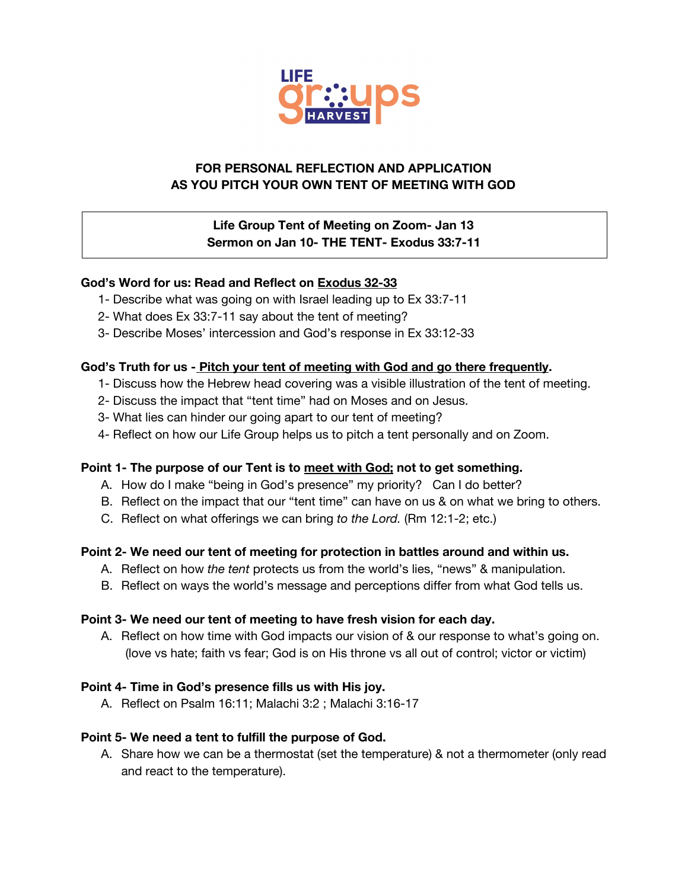

# **FOR PERSONAL REFLECTION AND APPLICATION AS YOU PITCH YOUR OWN TENT OF MEETING WITH GOD**

## **Life Group Tent of Meeting on Zoom- Jan 13 Sermon on Jan 10- THE TENT- Exodus 33:7-11**

### **God's Word for us: Read and Reflect on Exodus 32-33**

- 1- Describe what was going on with Israel leading up to Ex 33:7-11
- 2- What does Ex 33:7-11 say about the tent of meeting?
- 3- Describe Moses' intercession and God's response in Ex 33:12-33

#### **God's Truth for us - Pitch your tent of meeting with God and go there frequently.**

- 1- Discuss how the Hebrew head covering was a visible illustration of the tent of meeting.
- 2- Discuss the impact that "tent time" had on Moses and on Jesus.
- 3- What lies can hinder our going apart to our tent of meeting?
- 4- Reflect on how our Life Group helps us to pitch a tent personally and on Zoom.

#### **Point 1- The purpose of our Tent is to meet with God; not to get something.**

- A. How do I make "being in God's presence" my priority? Can I do better?
- B. Reflect on the impact that our "tent time" can have on us & on what we bring to others.
- C. Reflect on what offerings we can bring *to the Lord.* (Rm 12:1-2; etc.)

#### **Point 2- We need our tent of meeting for protection in battles around and within us.**

- A. Reflect on how *the tent* protects us from the world's lies, "news" & manipulation.
- B. Reflect on ways the world's message and perceptions differ from what God tells us.

#### **Point 3- We need our tent of meeting to have fresh vision for each day.**

A. Reflect on how time with God impacts our vision of & our response to what's going on. (love vs hate; faith vs fear; God is on His throne vs all out of control; victor or victim)

#### **Point 4- Time in God's presence fills us with His joy.**

A. Reflect on Psalm 16:11; Malachi 3:2 ; Malachi 3:16-17

### **Point 5- We need a tent to fulfill the purpose of God.**

A. Share how we can be a thermostat (set the temperature) & not a thermometer (only read and react to the temperature).